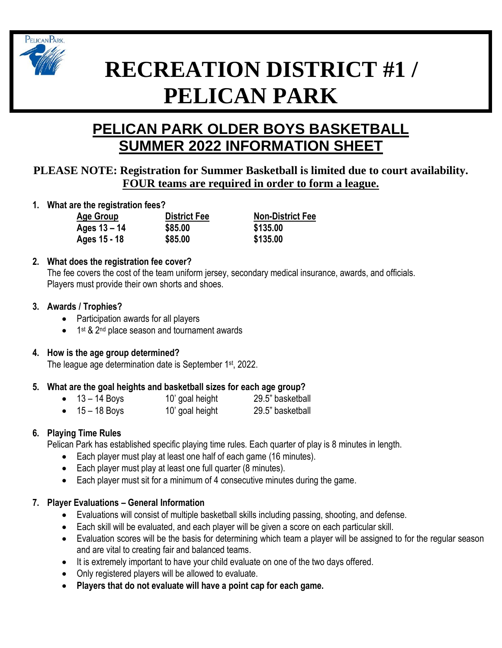

# **RECREATION DISTRICT #1 / PELICAN PARK**

# **PELICAN PARK OLDER BOYS BASKETBALL SUMMER 2022 INFORMATION SHEET**

# **PLEASE NOTE: Registration for Summer Basketball is limited due to court availability. FOUR teams are required in order to form a league.**

**1. What are the registration fees?**

**Ages 15 - 18 \$85.00 \$135.00**

**Ages 13 – 14 \$85.00 \$135.00**

**Age Group District Fee Non-District Fee**

# **2. What does the registration fee cover?**

The fee covers the cost of the team uniform jersey, secondary medical insurance, awards, and officials. Players must provide their own shorts and shoes.

# **3. Awards / Trophies?**

- Participation awards for all players
- 1<sup>st</sup> & 2<sup>nd</sup> place season and tournament awards

### **4. How is the age group determined?**

The league age determination date is September 1<sup>st</sup>, 2022.

# **5. What are the goal heights and basketball sizes for each age group?**

• 13 – 14 Boys 10' goal height 29.5" basketball • 15 – 18 Boys 10' goal height 29.5" basketball

# **6. Playing Time Rules**

Pelican Park has established specific playing time rules. Each quarter of play is 8 minutes in length.

- Each player must play at least one half of each game (16 minutes).
- Each player must play at least one full quarter (8 minutes).
- Each player must sit for a minimum of 4 consecutive minutes during the game.

# **7. Player Evaluations – General Information**

- Evaluations will consist of multiple basketball skills including passing, shooting, and defense.
- Each skill will be evaluated, and each player will be given a score on each particular skill.
- Evaluation scores will be the basis for determining which team a player will be assigned to for the regular season and are vital to creating fair and balanced teams.
- It is extremely important to have your child evaluate on one of the two days offered.
- Only registered players will be allowed to evaluate.
- **Players that do not evaluate will have a point cap for each game.**